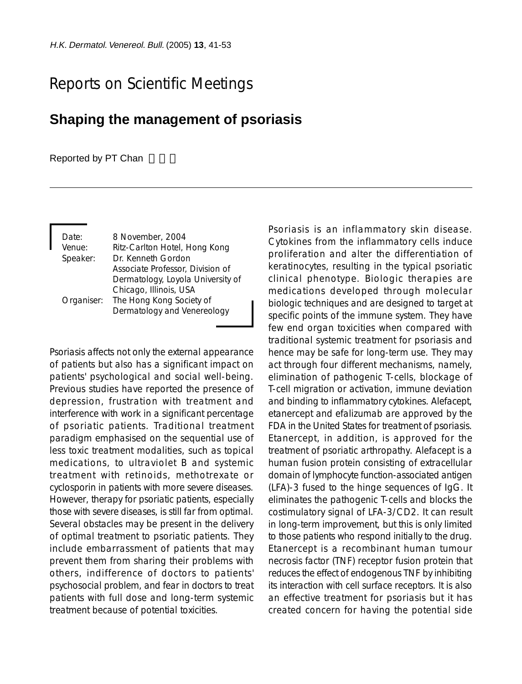## Reports on Scientific Meetings

## **Shaping the management of psoriasis**

## Reported by PT Chan

| Date:    | 8 November, 2004                    |
|----------|-------------------------------------|
| Venue:   | Ritz-Carlton Hotel, Hong Kong       |
| Speaker: | Dr. Kenneth Gordon                  |
|          | Associate Professor, Division of    |
|          | Dermatology, Loyola University of   |
|          | Chicago, Illinois, USA              |
|          | Organiser: The Hong Kong Society of |
|          | Dermatology and Venereology         |
|          |                                     |

Psoriasis affects not only the external appearance of patients but also has a significant impact on patients' psychological and social well-being. Previous studies have reported the presence of depression, frustration with treatment and interference with work in a significant percentage of psoriatic patients. Traditional treatment paradigm emphasised on the sequential use of less toxic treatment modalities, such as topical medications, to ultraviolet B and systemic treatment with retinoids, methotrexate or cyclosporin in patients with more severe diseases. However, therapy for psoriatic patients, especially those with severe diseases, is still far from optimal. Several obstacles may be present in the delivery of optimal treatment to psoriatic patients. They include embarrassment of patients that may prevent them from sharing their problems with others, indifference of doctors to patients' psychosocial problem, and fear in doctors to treat patients with full dose and long-term systemic treatment because of potential toxicities.

Psoriasis is an inflammatory skin disease. Cytokines from the inflammatory cells induce proliferation and alter the differentiation of keratinocytes, resulting in the typical psoriatic clinical phenotype. Biologic therapies are medications developed through molecular biologic techniques and are designed to target at specific points of the immune system. They have few end organ toxicities when compared with traditional systemic treatment for psoriasis and hence may be safe for long-term use. They may act through four different mechanisms, namely, elimination of pathogenic T-cells, blockage of T-cell migration or activation, immune deviation and binding to inflammatory cytokines. Alefacept, etanercept and efalizumab are approved by the FDA in the United States for treatment of psoriasis. Etanercept, in addition, is approved for the treatment of psoriatic arthropathy. Alefacept is a human fusion protein consisting of extracellular domain of lymphocyte function-associated antigen (LFA)-3 fused to the hinge sequences of IgG. It eliminates the pathogenic T-cells and blocks the costimulatory signal of LFA-3/CD2. It can result in long-term improvement, but this is only limited to those patients who respond initially to the drug. Etanercept is a recombinant human tumour necrosis factor (TNF) receptor fusion protein that reduces the effect of endogenous TNF by inhibiting its interaction with cell surface receptors. It is also an effective treatment for psoriasis but it has created concern for having the potential side